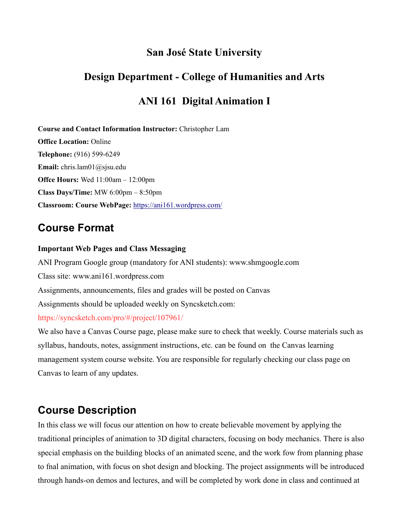### **San José State University**

# **Design Department - College of Humanities and Arts**

# **ANI 161 Digital Animation I**

**Course and Contact Information Instructor:** Christopher Lam

**Office Location:** Online **Telephone:** (916) 599-6249 **Email:** chris.lam01@sjsu.edu **Offce Hours:** Wed 11:00am – 12:00pm **Class Days/Time:** MW 6:00pm – 8:50pm **Classroom: Course WebPage:** <https://ani161.wordpress.com/>

# **Course Format**

#### **Important Web Pages and Class Messaging**

ANI Program Google group (mandatory for ANI students): www.shmgoogle.com Class site: www.ani161.wordpress.com Assignments, announcements, files and grades will be posted on Canvas Assignments should be uploaded weekly on Syncsketch.com: https://syncsketch.com/pro/#/project/107961/ We also have a Canvas Course page, please make sure to check that weekly. Course materials such as

syllabus, handouts, notes, assignment instructions, etc. can be found on the Canvas learning management system course website. You are responsible for regularly checking our class page on Canvas to learn of any updates.

# **Course Description**

In this class we will focus our attention on how to create believable movement by applying the traditional principles of animation to 3D digital characters, focusing on body mechanics. There is also special emphasis on the building blocks of an animated scene, and the work fow from planning phase to fnal animation, with focus on shot design and blocking. The project assignments will be introduced through hands-on demos and lectures, and will be completed by work done in class and continued at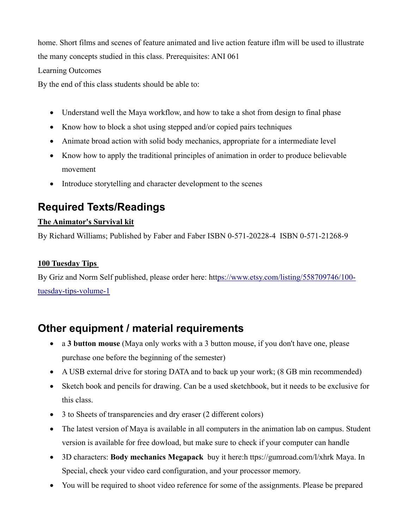home. Short films and scenes of feature animated and live action feature iflm will be used to illustrate the many concepts studied in this class. Prerequisites: ANI 061

Learning Outcomes

By the end of this class students should be able to:

- Understand well the Maya workflow, and how to take a shot from design to final phase
- Know how to block a shot using stepped and/or copied pairs techniques
- Animate broad action with solid body mechanics, appropriate for a intermediate level
- Know how to apply the traditional principles of animation in order to produce believable movement
- Introduce storytelling and character development to the scenes

# **Required Texts/Readings**

#### **The Animator's Survival kit**

By Richard Williams; Published by Faber and Faber ISBN 0-571-20228-4 ISBN 0-571-21268-9

#### **100 Tuesday Tips**

By Griz and Norm Self published, please order here: ht[tps://www.etsy.com/listing/558709746/100](https://www.etsy.com/listing/558709746/100-tuesday-tips-volume-1) [tuesday-tips-volume-1](https://www.etsy.com/listing/558709746/100-tuesday-tips-volume-1)

# **Other equipment / material requirements**

- a **3 button mouse** (Maya only works with a 3 button mouse, if you don't have one, please purchase one before the beginning of the semester)
- A USB external drive for storing DATA and to back up your work; (8 GB min recommended)
- Sketch book and pencils for drawing. Can be a used sketchbook, but it needs to be exclusive for this class.
- 3 to Sheets of transparencies and dry eraser (2 different colors)
- The latest version of Maya is available in all computers in the animation lab on campus. Student version is available for free dowload, but make sure to check if your computer can handle
- 3D characters: **Body mechanics Megapack** buy it here:h ttps://gumroad.com/l/xhrk Maya. In Special, check your video card configuration, and your processor memory.
- You will be required to shoot video reference for some of the assignments. Please be prepared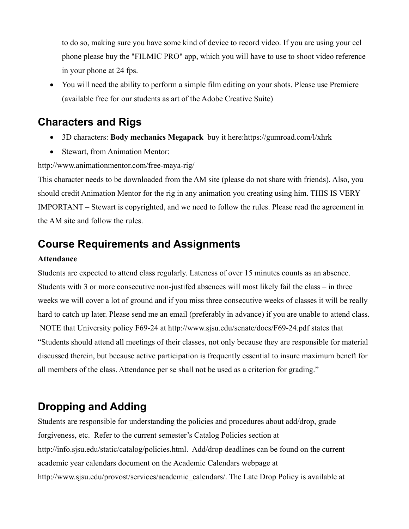to do so, making sure you have some kind of device to record video. If you are using your cel phone please buy the "FILMIC PRO" app, which you will have to use to shoot video reference in your phone at 24 fps.

• You will need the ability to perform a simple film editing on your shots. Please use Premiere (available free for our students as art of the Adobe Creative Suite)

### **Characters and Rigs**

- 3D characters: **Body mechanics Megapack** buy it here:https://gumroad.com/l/xhrk
- Stewart, from Animation Mentor:

#### http://www.animationmentor.com/free-maya-rig/

This character needs to be downloaded from the AM site (please do not share with friends). Also, you should credit Animation Mentor for the rig in any animation you creating using him. THIS IS VERY IMPORTANT – Stewart is copyrighted, and we need to follow the rules. Please read the agreement in the AM site and follow the rules.

### **Course Requirements and Assignments**

#### **Attendance**

Students are expected to attend class regularly. Lateness of over 15 minutes counts as an absence. Students with 3 or more consecutive non-justifed absences will most likely fail the class – in three weeks we will cover a lot of ground and if you miss three consecutive weeks of classes it will be really hard to catch up later. Please send me an email (preferably in advance) if you are unable to attend class. NOTE that University policy F69-24 at http://www.sjsu.edu/senate/docs/F69-24.pdf states that "Students should attend all meetings of their classes, not only because they are responsible for material discussed therein, but because active participation is frequently essential to insure maximum beneft for all members of the class. Attendance per se shall not be used as a criterion for grading."

# **Dropping and Adding**

Students are responsible for understanding the policies and procedures about add/drop, grade forgiveness, etc. Refer to the current semester's Catalog Policies section at http://info.sjsu.edu/static/catalog/policies.html. Add/drop deadlines can be found on the current academic year calendars document on the Academic Calendars webpage at http://www.sjsu.edu/provost/services/academic\_calendars/. The Late Drop Policy is available at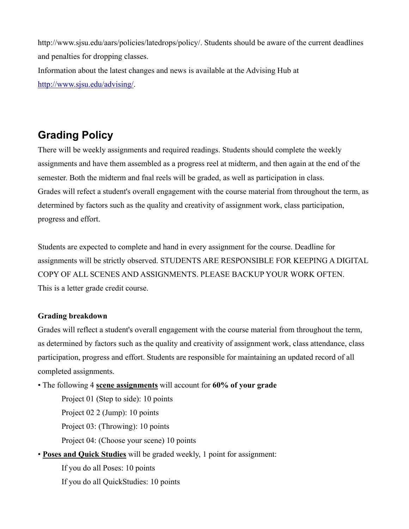http://www.sjsu.edu/aars/policies/latedrops/policy/. Students should be aware of the current deadlines and penalties for dropping classes.

Information about the latest changes and news is available at the Advising Hub at [http://www.sjsu.edu/advising/.](http://www.sjsu.edu/advising/)

# **Grading Policy**

There will be weekly assignments and required readings. Students should complete the weekly assignments and have them assembled as a progress reel at midterm, and then again at the end of the semester. Both the midterm and fnal reels will be graded, as well as participation in class. Grades will refect a student's overall engagement with the course material from throughout the term, as determined by factors such as the quality and creativity of assignment work, class participation, progress and effort.

Students are expected to complete and hand in every assignment for the course. Deadline for assignments will be strictly observed. STUDENTS ARE RESPONSIBLE FOR KEEPING A DIGITAL COPY OF ALL SCENES AND ASSIGNMENTS. PLEASE BACKUP YOUR WORK OFTEN. This is a letter grade credit course.

#### **Grading breakdown**

Grades will reflect a student's overall engagement with the course material from throughout the term, as determined by factors such as the quality and creativity of assignment work, class attendance, class participation, progress and effort. Students are responsible for maintaining an updated record of all completed assignments.

• The following 4 **scene assignments** will account for **60% of your grade**

Project 01 (Step to side): 10 points Project 02 2 (Jump): 10 points Project 03: (Throwing): 10 points Project 04: (Choose your scene) 10 points

• **Poses and Quick Studies** will be graded weekly, 1 point for assignment:

If you do all Poses: 10 points If you do all QuickStudies: 10 points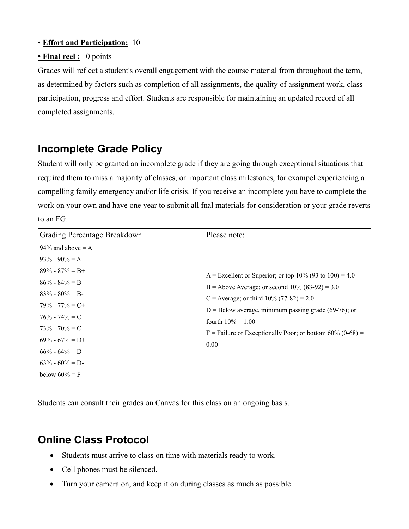#### • **Effort and Participation:** 10

#### **• Final reel :** 10 points

Grades will reflect a student's overall engagement with the course material from throughout the term, as determined by factors such as completion of all assignments, the quality of assignment work, class participation, progress and effort. Students are responsible for maintaining an updated record of all completed assignments.

# **Incomplete Grade Policy**

Student will only be granted an incomplete grade if they are going through exceptional situations that required them to miss a majority of classes, or important class milestones, for exampel experiencing a compelling family emergency and/or life crisis. If you receive an incomplete you have to complete the work on your own and have one year to submit all fnal materials for consideration or your grade reverts to an FG.

| Grading Percentage Breakdown             | Please note:                                                                                    |
|------------------------------------------|-------------------------------------------------------------------------------------------------|
| 94% and above $= A$                      |                                                                                                 |
| $93\% - 90\% = A$                        |                                                                                                 |
| $89\% - 87\% = B +$<br>$86\% - 84\% = B$ | A = Excellent or Superior; or top 10% (93 to 100) = 4.0                                         |
| $83\% - 80\% = B$                        | B = Above Average; or second $10\%$ (83-92) = 3.0<br>C = Average; or third $10\%$ (77-82) = 2.0 |
| $79\% - 77\% = C +$<br>$76\% - 74\% = C$ | $D =$ Below average, minimum passing grade (69-76); or<br>fourth $10\% = 1.00$                  |
| $73\% - 70\% = C$<br>$69\% - 67\% = D+$  | F = Failure or Exceptionally Poor; or bottom $60\%$ (0-68) =                                    |
| $66\% - 64\% = D$                        | 0.00                                                                                            |
| $63\% - 60\% = D$<br>below $60\% = F$    |                                                                                                 |

Students can consult their grades on Canvas for this class on an ongoing basis.

# **Online Class Protocol**

- Students must arrive to class on time with materials ready to work.
- Cell phones must be silenced.
- Turn your camera on, and keep it on during classes as much as possible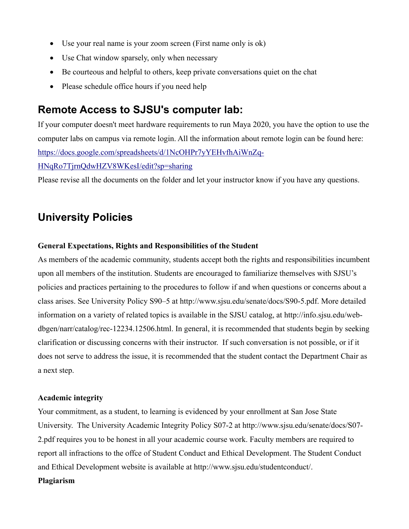- Use your real name is your zoom screen (First name only is ok)
- Use Chat window sparsely, only when necessary
- Be courteous and helpful to others, keep private conversations quiet on the chat
- Please schedule office hours if you need help

### **Remote Access to SJSU's computer lab:**

If your computer doesn't meet hardware requirements to run Maya 2020, you have the option to use the computer labs on campus via remote login. All the information about remote login can be found here: [https://docs.google.com/spreadsheets/d/1NcOHPr7yYEHvfhAiWnZq-](https://docs.google.com/spreadsheets/d/1NcOHPr7yYEHvfhAiWnZq-HNqRo7TjrnQdwHZV8WKesI/edit?sp=sharing)

[HNqRo7TjrnQdwHZV8WKesI/edit?sp=sharing](https://docs.google.com/spreadsheets/d/1NcOHPr7yYEHvfhAiWnZq-HNqRo7TjrnQdwHZV8WKesI/edit?sp=sharing)

Please revise all the documents on the folder and let your instructor know if you have any questions.

### **University Policies**

#### **General Expectations, Rights and Responsibilities of the Student**

As members of the academic community, students accept both the rights and responsibilities incumbent upon all members of the institution. Students are encouraged to familiarize themselves with SJSU's policies and practices pertaining to the procedures to follow if and when questions or concerns about a class arises. See University Policy S90–5 at http://www.sjsu.edu/senate/docs/S90-5.pdf. More detailed information on a variety of related topics is available in the SJSU catalog, at http://info.sjsu.edu/webdbgen/narr/catalog/rec-12234.12506.html. In general, it is recommended that students begin by seeking clarification or discussing concerns with their instructor. If such conversation is not possible, or if it does not serve to address the issue, it is recommended that the student contact the Department Chair as a next step.

#### **Academic integrity**

Your commitment, as a student, to learning is evidenced by your enrollment at San Jose State University. The University Academic Integrity Policy S07-2 at http://www.sjsu.edu/senate/docs/S07- 2.pdf requires you to be honest in all your academic course work. Faculty members are required to report all infractions to the offce of Student Conduct and Ethical Development. The Student Conduct and Ethical Development website is available at http://www.sjsu.edu/studentconduct/.

#### **Plagiarism**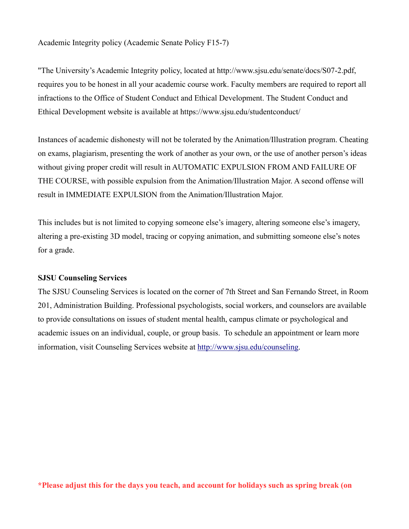Academic Integrity policy (Academic Senate Policy F15-7)

"The University's Academic Integrity policy, located at http://www.sjsu.edu/senate/docs/S07-2.pdf, requires you to be honest in all your academic course work. Faculty members are required to report all infractions to the Office of Student Conduct and Ethical Development. The Student Conduct and Ethical Development website is available at https://www.sjsu.edu/studentconduct/

Instances of academic dishonesty will not be tolerated by the Animation/Illustration program. Cheating on exams, plagiarism, presenting the work of another as your own, or the use of another person's ideas without giving proper credit will result in AUTOMATIC EXPULSION FROM AND FAILURE OF THE COURSE, with possible expulsion from the Animation/Illustration Major. A second offense will result in IMMEDIATE EXPULSION from the Animation/Illustration Major.

This includes but is not limited to copying someone else's imagery, altering someone else's imagery, altering a pre-existing 3D model, tracing or copying animation, and submitting someone else's notes for a grade.

#### **SJSU Counseling Services**

The SJSU Counseling Services is located on the corner of 7th Street and San Fernando Street, in Room 201, Administration Building. Professional psychologists, social workers, and counselors are available to provide consultations on issues of student mental health, campus climate or psychological and academic issues on an individual, couple, or group basis. To schedule an appointment or learn more information, visit Counseling Services website at [http://www.sjsu.edu/counseling.](http://www.sjsu.edu/counseling)

**\*Please adjust this for the days you teach, and account for holidays such as spring break (on**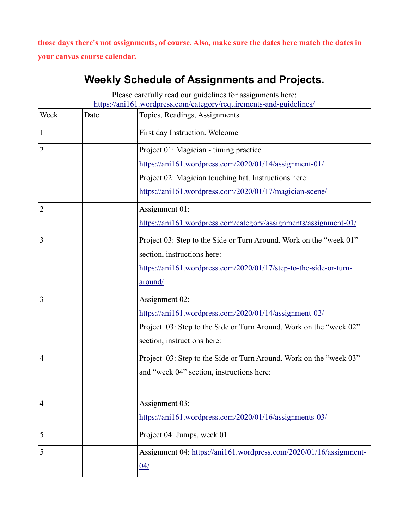**those days there's not assignments, of course. Also, make sure the dates here match the dates in your canvas course calendar.**

# **Weekly Schedule of Assignments and Projects.**

Please carefully read our guidelines for assignments here: <https://ani161.wordpress.com/category/requirements-and-guidelines/>

| Week           | Date | Topics, Readings, Assignments                                                                                                                                                                                        |
|----------------|------|----------------------------------------------------------------------------------------------------------------------------------------------------------------------------------------------------------------------|
| 1              |      | First day Instruction. Welcome                                                                                                                                                                                       |
| $\overline{2}$ |      | Project 01: Magician - timing practice<br>https://ani161.wordpress.com/2020/01/14/assignment-01/<br>Project 02: Magician touching hat. Instructions here:<br>https://ani161.wordpress.com/2020/01/17/magician-scene/ |
| 2              |      | Assignment 01:<br>https://ani161.wordpress.com/category/assignments/assignment-01/                                                                                                                                   |
| 3              |      | Project 03: Step to the Side or Turn Around. Work on the "week 01"<br>section, instructions here:<br>https://ani161.wordpress.com/2020/01/17/step-to-the-side-or-turn-<br><u>around/</u>                             |
| 3              |      | Assignment 02:<br>https://ani161.wordpress.com/2020/01/14/assignment-02/<br>Project 03: Step to the Side or Turn Around. Work on the "week 02"<br>section, instructions here:                                        |
| $\overline{4}$ |      | Project 03: Step to the Side or Turn Around. Work on the "week 03"<br>and "week 04" section, instructions here:                                                                                                      |
| $\overline{4}$ |      | Assignment 03:<br>https://ani161.wordpress.com/2020/01/16/assignments-03/                                                                                                                                            |
| 5              |      | Project 04: Jumps, week 01                                                                                                                                                                                           |
| 5              |      | Assignment 04: https://ani161.wordpress.com/2020/01/16/assignment-<br>04/                                                                                                                                            |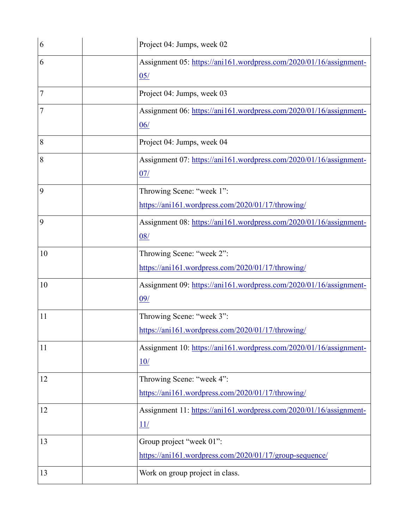| 6  | Project 04: Jumps, week 02                                         |
|----|--------------------------------------------------------------------|
| 6  | Assignment 05: https://ani161.wordpress.com/2020/01/16/assignment- |
|    | 05/                                                                |
| 7  | Project 04: Jumps, week 03                                         |
| 7  | Assignment 06: https://ani161.wordpress.com/2020/01/16/assignment- |
|    | 06/                                                                |
| 8  | Project 04: Jumps, week 04                                         |
| 8  | Assignment 07: https://ani161.wordpress.com/2020/01/16/assignment- |
|    | 07/                                                                |
| 9  | Throwing Scene: "week 1":                                          |
|    | https://ani161.wordpress.com/2020/01/17/throwing/                  |
| 9  | Assignment 08: https://ani161.wordpress.com/2020/01/16/assignment- |
|    | 08/                                                                |
| 10 | Throwing Scene: "week 2":                                          |
|    | https://ani161.wordpress.com/2020/01/17/throwing/                  |
| 10 | Assignment 09: https://ani161.wordpress.com/2020/01/16/assignment- |
|    | 09/                                                                |
| 11 | Throwing Scene: "week 3":                                          |
|    | https://ani161.wordpress.com/2020/01/17/throwing/                  |
| 11 | Assignment 10: https://ani161.wordpress.com/2020/01/16/assignment- |
|    | 10/                                                                |
| 12 | Throwing Scene: "week 4":                                          |
|    | https://ani161.wordpress.com/2020/01/17/throwing/                  |
| 12 | Assignment 11: https://ani161.wordpress.com/2020/01/16/assignment- |
|    | 11/                                                                |
| 13 | Group project "week 01":                                           |
|    | https://ani161.wordpress.com/2020/01/17/group-sequence/            |
| 13 | Work on group project in class.                                    |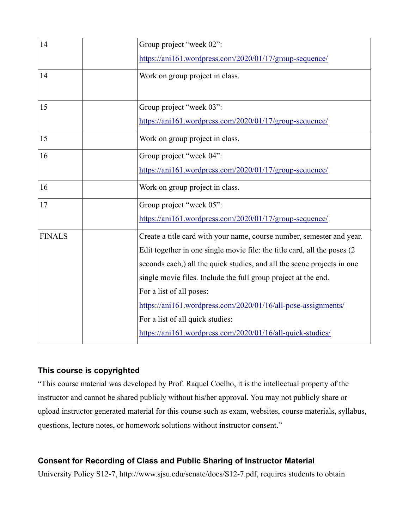| 14            | Group project "week 02":                                                                                                                                                                                                                                                                                                                                                                                                                                                                       |
|---------------|------------------------------------------------------------------------------------------------------------------------------------------------------------------------------------------------------------------------------------------------------------------------------------------------------------------------------------------------------------------------------------------------------------------------------------------------------------------------------------------------|
|               | https://ani161.wordpress.com/2020/01/17/group-sequence/                                                                                                                                                                                                                                                                                                                                                                                                                                        |
| 14            | Work on group project in class.                                                                                                                                                                                                                                                                                                                                                                                                                                                                |
| 15            | Group project "week 03":<br>https://ani161.wordpress.com/2020/01/17/group-sequence/                                                                                                                                                                                                                                                                                                                                                                                                            |
| 15            | Work on group project in class.                                                                                                                                                                                                                                                                                                                                                                                                                                                                |
| 16            | Group project "week 04":<br>https://ani161.wordpress.com/2020/01/17/group-sequence/                                                                                                                                                                                                                                                                                                                                                                                                            |
| 16            | Work on group project in class.                                                                                                                                                                                                                                                                                                                                                                                                                                                                |
| 17            | Group project "week 05":<br>https://ani161.wordpress.com/2020/01/17/group-sequence/                                                                                                                                                                                                                                                                                                                                                                                                            |
| <b>FINALS</b> | Create a title card with your name, course number, semester and year.<br>Edit together in one single movie file: the title card, all the poses (2)<br>seconds each,) all the quick studies, and all the scene projects in one<br>single movie files. Include the full group project at the end.<br>For a list of all poses:<br>https://ani161.wordpress.com/2020/01/16/all-pose-assignments/<br>For a list of all quick studies:<br>https://ani161.wordpress.com/2020/01/16/all-quick-studies/ |

#### **This course is copyrighted**

"This course material was developed by Prof. Raquel Coelho, it is the intellectual property of the instructor and cannot be shared publicly without his/her approval. You may not publicly share or upload instructor generated material for this course such as exam, websites, course materials, syllabus, questions, lecture notes, or homework solutions without instructor consent."

### **Consent for Recording of Class and Public Sharing of Instructor Material**

University Policy S12-7, http://www.sjsu.edu/senate/docs/S12-7.pdf, requires students to obtain